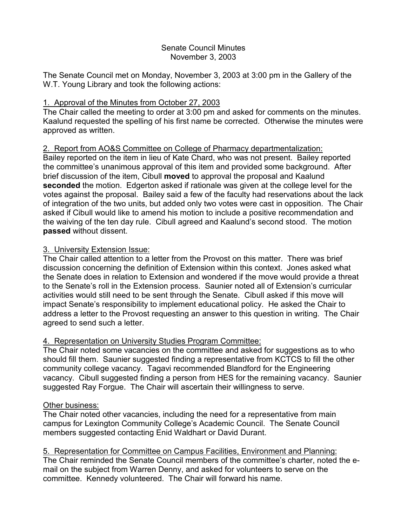#### Senate Council Minutes November 3, 2003

The Senate Council met on Monday, November 3, 2003 at 3:00 pm in the Gallery of the W.T. Young Library and took the following actions:

## 1. Approval of the Minutes from October 27, 2003

The Chair called the meeting to order at 3:00 pm and asked for comments on the minutes. Kaalund requested the spelling of his first name be corrected. Otherwise the minutes were approved as written.

## 2. Report from AO&S Committee on College of Pharmacy departmentalization:

Bailey reported on the item in lieu of Kate Chard, who was not present. Bailey reported the committee's unanimous approval of this item and provided some background. After brief discussion of the item, Cibull **moved** to approval the proposal and Kaalund **seconded** the motion. Edgerton asked if rationale was given at the college level for the votes against the proposal. Bailey said a few of the faculty had reservations about the lack of integration of the two units, but added only two votes were cast in opposition. The Chair asked if Cibull would like to amend his motion to include a positive recommendation and the waiving of the ten day rule. Cibull agreed and Kaalund's second stood. The motion **passed** without dissent.

## 3. University Extension Issue:

The Chair called attention to a letter from the Provost on this matter. There was brief discussion concerning the definition of Extension within this context. Jones asked what the Senate does in relation to Extension and wondered if the move would provide a threat to the Senate's roll in the Extension process. Saunier noted all of Extension's curricular activities would still need to be sent through the Senate. Cibull asked if this move will impact Senate's responsibility to implement educational policy. He asked the Chair to address a letter to the Provost requesting an answer to this question in writing. The Chair agreed to send such a letter.

## 4. Representation on University Studies Program Committee:

The Chair noted some vacancies on the committee and asked for suggestions as to who should fill them. Saunier suggested finding a representative from KCTCS to fill the other community college vacancy. Tagavi recommended Blandford for the Engineering vacancy. Cibull suggested finding a person from HES for the remaining vacancy. Saunier suggested Ray Forgue. The Chair will ascertain their willingness to serve.

## Other business:

The Chair noted other vacancies, including the need for a representative from main campus for Lexington Community College's Academic Council. The Senate Council members suggested contacting Enid Waldhart or David Durant.

# 5. Representation for Committee on Campus Facilities, Environment and Planning:

The Chair reminded the Senate Council members of the committee's charter, noted the email on the subject from Warren Denny, and asked for volunteers to serve on the committee. Kennedy volunteered. The Chair will forward his name.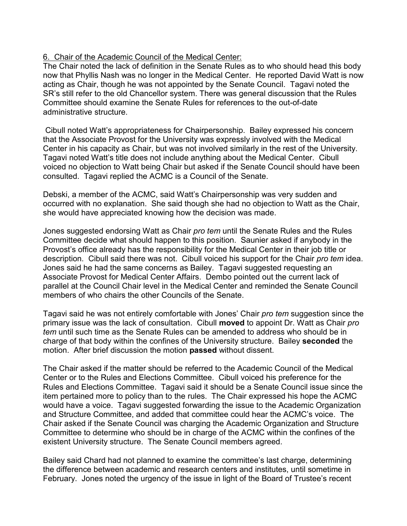## 6. Chair of the Academic Council of the Medical Center:

The Chair noted the lack of definition in the Senate Rules as to who should head this body now that Phyllis Nash was no longer in the Medical Center. He reported David Watt is now acting as Chair, though he was not appointed by the Senate Council. Tagavi noted the SR's still refer to the old Chancellor system. There was general discussion that the Rules Committee should examine the Senate Rules for references to the out-of-date administrative structure.

Cibull noted Watt's appropriateness for Chairpersonship. Bailey expressed his concern that the Associate Provost for the University was expressly involved with the Medical Center in his capacity as Chair, but was not involved similarly in the rest of the University. Tagavi noted Watt's title does not include anything about the Medical Center. Cibull voiced no objection to Watt being Chair but asked if the Senate Council should have been consulted. Tagavi replied the ACMC is a Council of the Senate.

Debski, a member of the ACMC, said Watt's Chairpersonship was very sudden and occurred with no explanation. She said though she had no objection to Watt as the Chair, she would have appreciated knowing how the decision was made.

Jones suggested endorsing Watt as Chair *pro tem* until the Senate Rules and the Rules Committee decide what should happen to this position. Saunier asked if anybody in the Provost's office already has the responsibility for the Medical Center in their job title or description. Cibull said there was not. Cibull voiced his support for the Chair *pro tem* idea. Jones said he had the same concerns as Bailey. Tagavi suggested requesting an Associate Provost for Medical Center Affairs. Dembo pointed out the current lack of parallel at the Council Chair level in the Medical Center and reminded the Senate Council members of who chairs the other Councils of the Senate.

Tagavi said he was not entirely comfortable with Jones' Chair *pro tem* suggestion since the primary issue was the lack of consultation. Cibull **moved** to appoint Dr. Watt as Chair *pro tem* until such time as the Senate Rules can be amended to address who should be in charge of that body within the confines of the University structure. Bailey **seconded** the motion. After brief discussion the motion **passed** without dissent.

The Chair asked if the matter should be referred to the Academic Council of the Medical Center or to the Rules and Elections Committee. Cibull voiced his preference for the Rules and Elections Committee. Tagavi said it should be a Senate Council issue since the item pertained more to policy than to the rules. The Chair expressed his hope the ACMC would have a voice. Tagavi suggested forwarding the issue to the Academic Organization and Structure Committee, and added that committee could hear the ACMC's voice. The Chair asked if the Senate Council was charging the Academic Organization and Structure Committee to determine who should be in charge of the ACMC within the confines of the existent University structure. The Senate Council members agreed.

Bailey said Chard had not planned to examine the committee's last charge, determining the difference between academic and research centers and institutes, until sometime in February. Jones noted the urgency of the issue in light of the Board of Trustee's recent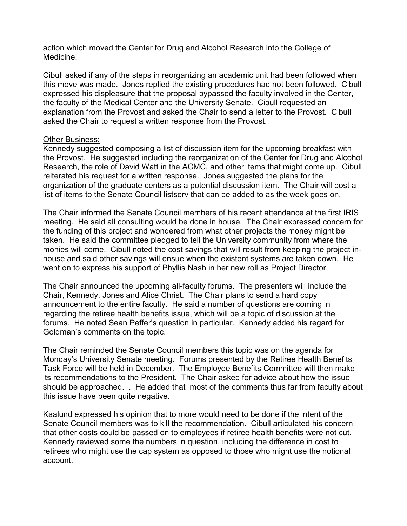action which moved the Center for Drug and Alcohol Research into the College of Medicine.

Cibull asked if any of the steps in reorganizing an academic unit had been followed when this move was made. Jones replied the existing procedures had not been followed. Cibull expressed his displeasure that the proposal bypassed the faculty involved in the Center, the faculty of the Medical Center and the University Senate. Cibull requested an explanation from the Provost and asked the Chair to send a letter to the Provost. Cibull asked the Chair to request a written response from the Provost.

#### Other Business:

Kennedy suggested composing a list of discussion item for the upcoming breakfast with the Provost. He suggested including the reorganization of the Center for Drug and Alcohol Research, the role of David Watt in the ACMC, and other items that might come up. Cibull reiterated his request for a written response. Jones suggested the plans for the organization of the graduate centers as a potential discussion item. The Chair will post a list of items to the Senate Council listserv that can be added to as the week goes on.

The Chair informed the Senate Council members of his recent attendance at the first IRIS meeting. He said all consulting would be done in house. The Chair expressed concern for the funding of this project and wondered from what other projects the money might be taken. He said the committee pledged to tell the University community from where the monies will come. Cibull noted the cost savings that will result from keeping the project inhouse and said other savings will ensue when the existent systems are taken down. He went on to express his support of Phyllis Nash in her new roll as Project Director.

The Chair announced the upcoming all-faculty forums. The presenters will include the Chair, Kennedy, Jones and Alice Christ. The Chair plans to send a hard copy announcement to the entire faculty. He said a number of questions are coming in regarding the retiree health benefits issue, which will be a topic of discussion at the forums. He noted Sean Peffer's question in particular. Kennedy added his regard for Goldman's comments on the topic.

The Chair reminded the Senate Council members this topic was on the agenda for Monday's University Senate meeting. Forums presented by the Retiree Health Benefits Task Force will be held in December. The Employee Benefits Committee will then make its recommendations to the President. The Chair asked for advice about how the issue should be approached. . He added that most of the comments thus far from faculty about this issue have been quite negative.

Kaalund expressed his opinion that to more would need to be done if the intent of the Senate Council members was to kill the recommendation. Cibull articulated his concern that other costs could be passed on to employees if retiree health benefits were not cut. Kennedy reviewed some the numbers in question, including the difference in cost to retirees who might use the cap system as opposed to those who might use the notional account.